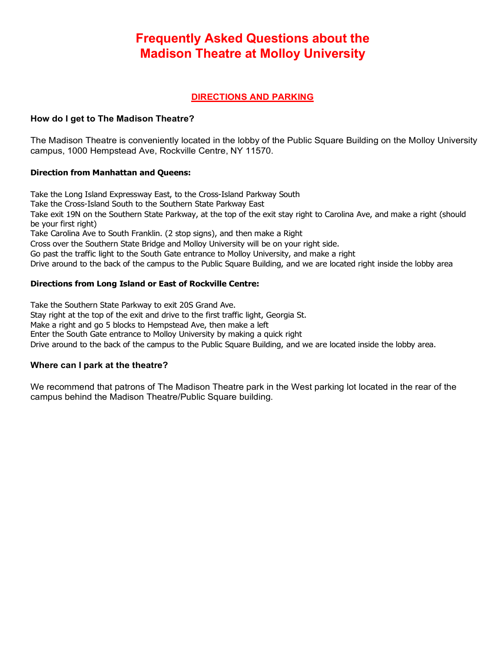# **Frequently Asked Questions about the Madison Theatre at Molloy University**

# **DIRECTIONS AND PARKING**

# **How do I get to The Madison Theatre?**

The Madison Theatre is conveniently located in the lobby of the Public Square Building on the Molloy University campus, 1000 Hempstead Ave, Rockville Centre, NY 11570.

# **Direction from Manhattan and Queens:**

Take the Long Island Expressway East, to the Cross-Island Parkway South Take the Cross-Island South to the Southern State Parkway East Take exit 19N on the Southern State Parkway, at the top of the exit stay right to Carolina Ave, and make a right (should be your first right) Take Carolina Ave to South Franklin. (2 stop signs), and then make a Right Cross over the Southern State Bridge and Molloy University will be on your right side. Go past the traffic light to the South Gate entrance to Molloy University, and make a right Drive around to the back of the campus to the Public Square Building, and we are located right inside the lobby area

# **Directions from Long Island or East of Rockville Centre:**

Take the Southern State Parkway to exit 20S Grand Ave.

Stay right at the top of the exit and drive to the first traffic light, Georgia St.

Make a right and go 5 blocks to Hempstead Ave, then make a left

Enter the South Gate entrance to Molloy University by making a quick right

Drive around to the back of the campus to the Public Square Building, and we are located inside the lobby area.

# **Where can I park at the theatre?**

We recommend that patrons of The Madison Theatre park in the West parking lot located in the rear of the campus behind the Madison Theatre/Public Square building.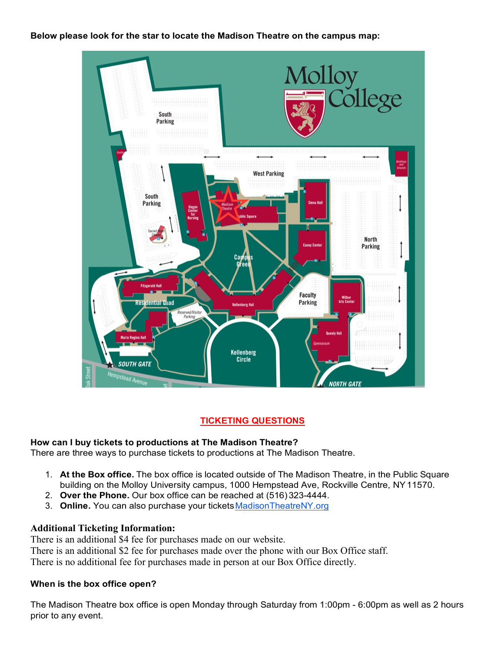# **Below please look for the star to locate the Madison Theatre on the campus map:**



# **TICKETING QUESTIONS**

# **How can I buy tickets to productions at The Madison Theatre?**

There are three ways to purchase tickets to productions at The Madison Theatre.

- 1. **At the Box office.** The box office is located outside of The Madison Theatre, in the Public Square building on the Molloy University campus, 1000 Hempstead Ave, Rockville Centre, NY11570.
- 2. **Over the Phone.** Our box office can be reached at (516) 323-4444.
- 3. Online. You can also purchase your tickets Madison TheatreNY.org

# **Additional Ticketing Information:**

There is an additional \$4 fee for purchases made on our website.

There is an additional \$2 fee for purchases made over the phone with our Box Office staff.

There is no additional fee for purchases made in person at our Box Office directly.

# **When is the box office open?**

The Madison Theatre box office is open Monday through Saturday from 1:00pm - 6:00pm as well as 2 hours prior to any event.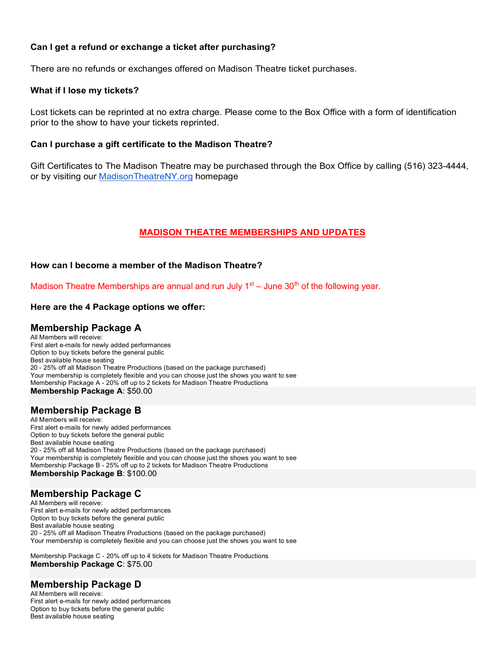# **Can I get a refund or exchange a ticket after purchasing?**

There are no refunds or exchanges offered on Madison Theatre ticket purchases.

#### **What if I lose my tickets?**

Lost tickets can be reprinted at no extra charge. Please come to the Box Office with a form of identification prior to the show to have your tickets reprinted.

# **Can I purchase a gift certificate to the Madison Theatre?**

Gift Certificates to The Madison Theatre may be purchased through the Box Office by calling (516) 323-4444, or by visiting our MadisonTheatreNY.org homepage

# **MADISON THEATRE MEMBERSHIPS AND UPDATES**

# **How can I become a member of the Madison Theatre?**

Madison Theatre Memberships are annual and run July  $1<sup>st</sup> -$  June 30<sup>th</sup> of the following year.

#### **Here are the 4 Package options we offer:**

# **Membership Package A**

All Members will receive: First alert e-mails for newly added performances Option to buy tickets before the general public Best available house seating 20 - 25% off all Madison Theatre Productions (based on the package purchased) Your membership is completely flexible and you can choose just the shows you want to see Membership Package A - 20% off up to 2 tickets for Madison Theatre Productions **Membership Package A**: \$50.00

# **Membership Package B**

All Members will receive: First alert e-mails for newly added performances Option to buy tickets before the general public Best available house seating 20 - 25% off all Madison Theatre Productions (based on the package purchased) Your membership is completely flexible and you can choose just the shows you want to see Membership Package B - 25% off up to 2 tickets for Madison Theatre Productions **Membership Package B**: \$100.00

# **Membership Package C**

All Members will receive: First alert e-mails for newly added performances Option to buy tickets before the general public Best available house seating 20 - 25% off all Madison Theatre Productions (based on the package purchased) Your membership is completely flexible and you can choose just the shows you want to see

**Membership Package C**: \$75.00 Membership Package C - 20% off up to 4 tickets for Madison Theatre Productions

# **Membership Package D**

All Members will receive: First alert e-mails for newly added performances Option to buy tickets before the general public Best available house seating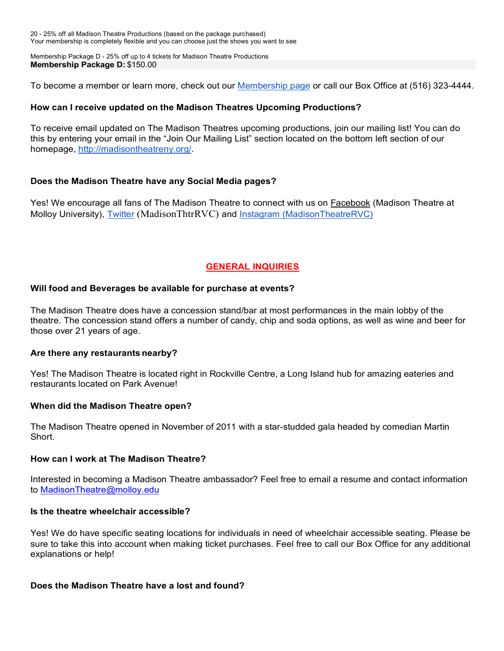20 - 25% off all Madison Theatre Productions (based on the package purchased) Your membership is completely flexible and you can choose just the shows you want to see

Membership Package D - 25% off up to 4 tickets for Madison Theatre Productions **Membership Package D:** \$150.00

To become a member or learn more, check out our Membership page or call our Box Office at (516) 323-4444.

# **How can I receive updated on the Madison Theatres Upcoming Productions?**

To receive email updated on The Madison Theatres upcoming productions, join our mailing list! You can do this by entering your email in the "Join Our Mailing List" section located on the bottom left section of our homepage, http://madisontheatreny.org/.

# **Does the Madison Theatre have any Social Media pages?**

Yes! We encourage all fans of The Madison Theatre to connect with us on **Facebook** (Madison Theatre at Molloy University), Twitter (MadisonThtrRVC) and Instagram (MadisonTheatreRVC)

# **GENERAL INQUIRIES**

# **Will food and Beverages be available for purchase at events?**

The Madison Theatre does have a concession stand/bar at most performances in the main lobby of the theatre. The concession stand offers a number of candy, chip and soda options, as well as wine and beer for those over 21 years of age.

# **Are there any restaurants nearby?**

Yes! The Madison Theatre is located right in Rockville Centre, a Long Island hub for amazing eateries and restaurants located on Park Avenue!

# **When did the Madison Theatre open?**

The Madison Theatre opened in November of 2011 with a star-studded gala headed by comedian Martin Short.

# **How can I work at The Madison Theatre?**

Interested in becoming a Madison Theatre ambassador? Feel free to email a resume and contact information to MadisonTheatre@molloy.edu

# **Is the theatre wheelchair accessible?**

Yes! We do have specific seating locations for individuals in need of wheelchair accessible seating. Please be sure to take this into account when making ticket purchases. Feel free to call our Box Office for any additional explanations or help!

# **Does the Madison Theatre have a lost and found?**